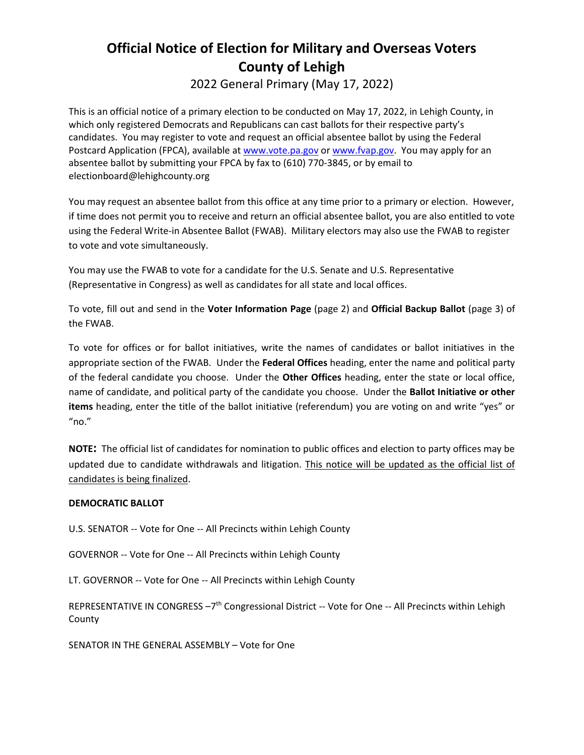# **Official Notice of Election for Military and Overseas Voters County of Lehigh**

2022 General Primary (May 17, 2022)

This is an official notice of a primary election to be conducted on May 17, 2022, in Lehigh County, in which only registered Democrats and Republicans can cast ballots for their respective party's candidates. You may register to vote and request an official absentee ballot by using the Federal Postcard Application (FPCA), available at [www.vote.pa.gov](http://www.vote.pa.gov/) o[r www.fvap.gov.](http://www.fvap.gov/) You may apply for an absentee ballot by submitting your FPCA by fax to (610) 770-3845, or by email to electionboard@lehighcounty.org

You may request an absentee ballot from this office at any time prior to a primary or election. However, if time does not permit you to receive and return an official absentee ballot, you are also entitled to vote using the Federal Write-in Absentee Ballot (FWAB). Military electors may also use the FWAB to register to vote and vote simultaneously.

You may use the FWAB to vote for a candidate for the U.S. Senate and U.S. Representative (Representative in Congress) as well as candidates for all state and local offices.

To vote, fill out and send in the **Voter Information Page** (page 2) and **Official Backup Ballot** (page 3) of the FWAB.

To vote for offices or for ballot initiatives, write the names of candidates or ballot initiatives in the appropriate section of the FWAB. Under the **Federal Offices** heading, enter the name and political party of the federal candidate you choose. Under the **Other Offices** heading, enter the state or local office, name of candidate, and political party of the candidate you choose. Under the **Ballot Initiative or other items** heading, enter the title of the ballot initiative (referendum) you are voting on and write "yes" or  $"no."$ 

**NOTE:** The official list of candidates for nomination to public offices and election to party offices may be updated due to candidate withdrawals and litigation. This notice will be updated as the official list of candidates is being finalized.

# **DEMOCRATIC BALLOT**

U.S. SENATOR -- Vote for One -- All Precincts within Lehigh County

GOVERNOR -- Vote for One -- All Precincts within Lehigh County

LT. GOVERNOR -- Vote for One -- All Precincts within Lehigh County

REPRESENTATIVE IN CONGRESS -7<sup>th</sup> Congressional District -- Vote for One -- All Precincts within Lehigh County

SENATOR IN THE GENERAL ASSEMBLY – Vote for One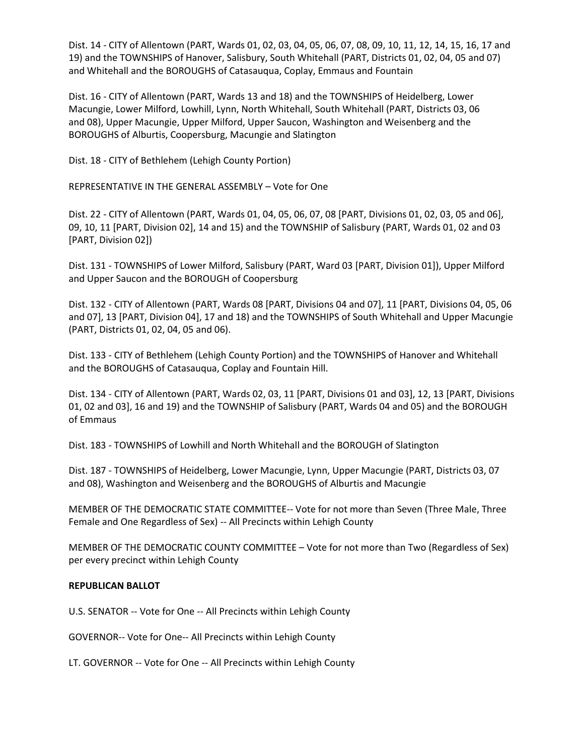Dist. 14 - CITY of Allentown (PART, Wards 01, 02, 03, 04, 05, 06, 07, 08, 09, 10, 11, 12, 14, 15, 16, 17 and 19) and the TOWNSHIPS of Hanover, Salisbury, South Whitehall (PART, Districts 01, 02, 04, 05 and 07) and Whitehall and the BOROUGHS of Catasauqua, Coplay, Emmaus and Fountain

Dist. 16 - CITY of Allentown (PART, Wards 13 and 18) and the TOWNSHIPS of Heidelberg, Lower Macungie, Lower Milford, Lowhill, Lynn, North Whitehall, South Whitehall (PART, Districts 03, 06 and 08), Upper Macungie, Upper Milford, Upper Saucon, Washington and Weisenberg and the BOROUGHS of Alburtis, Coopersburg, Macungie and Slatington

Dist. 18 - CITY of Bethlehem (Lehigh County Portion)

REPRESENTATIVE IN THE GENERAL ASSEMBLY – Vote for One

Dist. 22 - CITY of Allentown (PART, Wards 01, 04, 05, 06, 07, 08 [PART, Divisions 01, 02, 03, 05 and 06], 09, 10, 11 [PART, Division 02], 14 and 15) and the TOWNSHIP of Salisbury (PART, Wards 01, 02 and 03 [PART, Division 02])

Dist. 131 - TOWNSHIPS of Lower Milford, Salisbury (PART, Ward 03 [PART, Division 01]), Upper Milford and Upper Saucon and the BOROUGH of Coopersburg

Dist. 132 - CITY of Allentown (PART, Wards 08 [PART, Divisions 04 and 07], 11 [PART, Divisions 04, 05, 06 and 07], 13 [PART, Division 04], 17 and 18) and the TOWNSHIPS of South Whitehall and Upper Macungie (PART, Districts 01, 02, 04, 05 and 06).

Dist. 133 - CITY of Bethlehem (Lehigh County Portion) and the TOWNSHIPS of Hanover and Whitehall and the BOROUGHS of Catasauqua, Coplay and Fountain Hill.

Dist. 134 - CITY of Allentown (PART, Wards 02, 03, 11 [PART, Divisions 01 and 03], 12, 13 [PART, Divisions 01, 02 and 03], 16 and 19) and the TOWNSHIP of Salisbury (PART, Wards 04 and 05) and the BOROUGH of Emmaus

Dist. 183 - TOWNSHIPS of Lowhill and North Whitehall and the BOROUGH of Slatington

Dist. 187 - TOWNSHIPS of Heidelberg, Lower Macungie, Lynn, Upper Macungie (PART, Districts 03, 07 and 08), Washington and Weisenberg and the BOROUGHS of Alburtis and Macungie

MEMBER OF THE DEMOCRATIC STATE COMMITTEE-- Vote for not more than Seven (Three Male, Three Female and One Regardless of Sex) -- All Precincts within Lehigh County

MEMBER OF THE DEMOCRATIC COUNTY COMMITTEE – Vote for not more than Two (Regardless of Sex) per every precinct within Lehigh County

#### **REPUBLICAN BALLOT**

U.S. SENATOR -- Vote for One -- All Precincts within Lehigh County

GOVERNOR-- Vote for One-- All Precincts within Lehigh County

LT. GOVERNOR -- Vote for One -- All Precincts within Lehigh County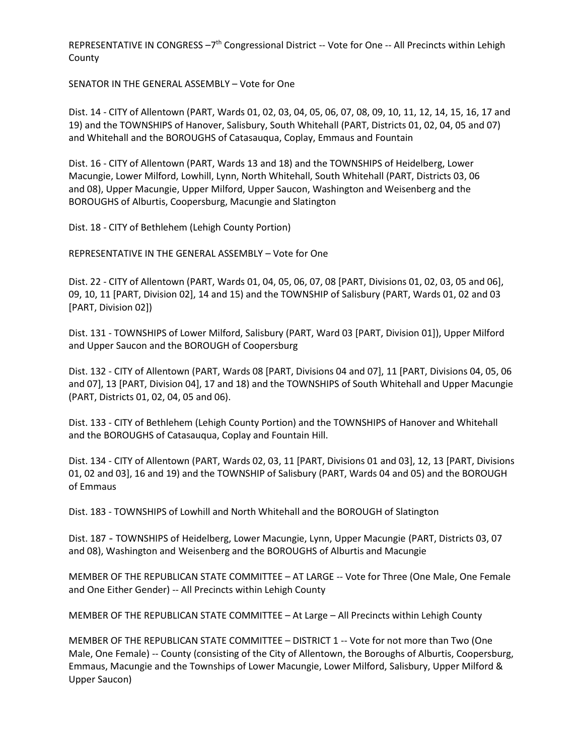REPRESENTATIVE IN CONGRESS -7<sup>th</sup> Congressional District -- Vote for One -- All Precincts within Lehigh County

SENATOR IN THE GENERAL ASSEMBLY – Vote for One

Dist. 14 - CITY of Allentown (PART, Wards 01, 02, 03, 04, 05, 06, 07, 08, 09, 10, 11, 12, 14, 15, 16, 17 and 19) and the TOWNSHIPS of Hanover, Salisbury, South Whitehall (PART, Districts 01, 02, 04, 05 and 07) and Whitehall and the BOROUGHS of Catasauqua, Coplay, Emmaus and Fountain

Dist. 16 - CITY of Allentown (PART, Wards 13 and 18) and the TOWNSHIPS of Heidelberg, Lower Macungie, Lower Milford, Lowhill, Lynn, North Whitehall, South Whitehall (PART, Districts 03, 06 and 08), Upper Macungie, Upper Milford, Upper Saucon, Washington and Weisenberg and the BOROUGHS of Alburtis, Coopersburg, Macungie and Slatington

Dist. 18 - CITY of Bethlehem (Lehigh County Portion)

REPRESENTATIVE IN THE GENERAL ASSEMBLY – Vote for One

Dist. 22 - CITY of Allentown (PART, Wards 01, 04, 05, 06, 07, 08 [PART, Divisions 01, 02, 03, 05 and 06], 09, 10, 11 [PART, Division 02], 14 and 15) and the TOWNSHIP of Salisbury (PART, Wards 01, 02 and 03 [PART, Division 02])

Dist. 131 - TOWNSHIPS of Lower Milford, Salisbury (PART, Ward 03 [PART, Division 01]), Upper Milford and Upper Saucon and the BOROUGH of Coopersburg

Dist. 132 - CITY of Allentown (PART, Wards 08 [PART, Divisions 04 and 07], 11 [PART, Divisions 04, 05, 06 and 07], 13 [PART, Division 04], 17 and 18) and the TOWNSHIPS of South Whitehall and Upper Macungie (PART, Districts 01, 02, 04, 05 and 06).

Dist. 133 - CITY of Bethlehem (Lehigh County Portion) and the TOWNSHIPS of Hanover and Whitehall and the BOROUGHS of Catasauqua, Coplay and Fountain Hill.

Dist. 134 - CITY of Allentown (PART, Wards 02, 03, 11 [PART, Divisions 01 and 03], 12, 13 [PART, Divisions 01, 02 and 03], 16 and 19) and the TOWNSHIP of Salisbury (PART, Wards 04 and 05) and the BOROUGH of Emmaus

Dist. 183 - TOWNSHIPS of Lowhill and North Whitehall and the BOROUGH of Slatington

Dist. 187 - TOWNSHIPS of Heidelberg, Lower Macungie, Lynn, Upper Macungie (PART, Districts 03, 07 and 08), Washington and Weisenberg and the BOROUGHS of Alburtis and Macungie

MEMBER OF THE REPUBLICAN STATE COMMITTEE – AT LARGE -- Vote for Three (One Male, One Female and One Either Gender) -- All Precincts within Lehigh County

MEMBER OF THE REPUBLICAN STATE COMMITTEE – At Large – All Precincts within Lehigh County

MEMBER OF THE REPUBLICAN STATE COMMITTEE – DISTRICT 1 -- Vote for not more than Two (One Male, One Female) -- County (consisting of the City of Allentown, the Boroughs of Alburtis, Coopersburg, Emmaus, Macungie and the Townships of Lower Macungie, Lower Milford, Salisbury, Upper Milford & Upper Saucon)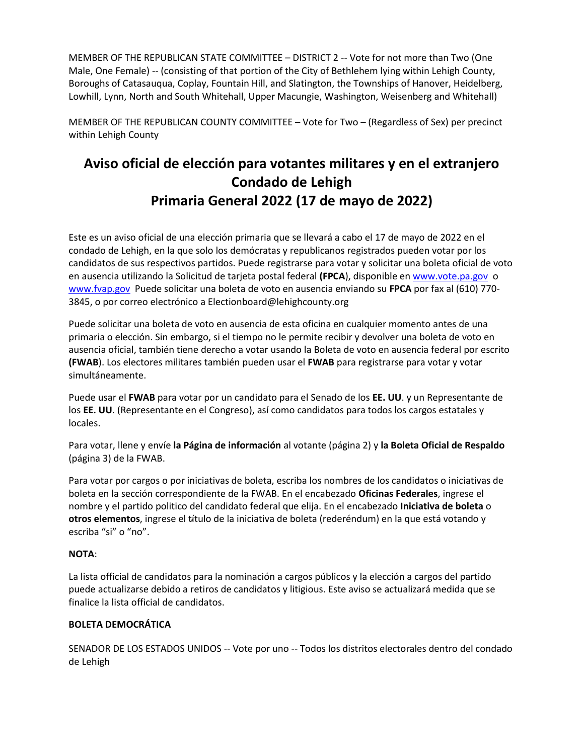MEMBER OF THE REPUBLICAN STATE COMMITTEE – DISTRICT 2 -- Vote for not more than Two (One Male, One Female) -- (consisting of that portion of the City of Bethlehem lying within Lehigh County, Boroughs of Catasauqua, Coplay, Fountain Hill, and Slatington, the Townships of Hanover, Heidelberg, Lowhill, Lynn, North and South Whitehall, Upper Macungie, Washington, Weisenberg and Whitehall)

MEMBER OF THE REPUBLICAN COUNTY COMMITTEE – Vote for Two – (Regardless of Sex) per precinct within Lehigh County

# **Aviso oficial de elección para votantes militares y en el extranjero Condado de Lehigh Primaria General 2022 (17 de mayo de 2022)**

Este es un aviso oficial de una elección primaria que se llevará a cabo el 17 de mayo de 2022 en el condado de Lehigh, en la que solo los demócratas y republicanos registrados pueden votar por los candidatos de sus respectivos partidos. Puede registrarse para votar y solicitar una boleta oficial de voto en ausencia utilizando la Solicitud de tarjeta postal federal **(FPCA**), disponible en [www.vote.pa.gov](http://www.vote.pa.gov/) o [www.fvap.gov](http://www.fvap.gov/) Puede solicitar una boleta de voto en ausencia enviando su **FPCA** por fax al (610) 770- 3845, o por correo electrónico a Electionboard@lehighcounty.org

Puede solicitar una boleta de voto en ausencia de esta oficina en cualquier momento antes de una primaria o elección. Sin embargo, si el tiempo no le permite recibir y devolver una boleta de voto en ausencia oficial, también tiene derecho a votar usando la Boleta de voto en ausencia federal por escrito **(FWAB**). Los electores militares también pueden usar el **FWAB** para registrarse para votar y votar simultáneamente.

Puede usar el **FWAB** para votar por un candidato para el Senado de los **EE. UU**. y un Representante de los **EE. UU**. (Representante en el Congreso), así como candidatos para todos los cargos estatales y locales.

Para votar, llene y envíe **la Página de información** al votante (página 2) y **la Boleta Oficial de Respaldo**  (página 3) de la FWAB.

Para votar por cargos o por iniciativas de boleta, escriba los nombres de los candidatos o iniciativas de boleta en la sección correspondiente de la FWAB. En el encabezado **Oficinas Federales**, ingrese el nombre y el partido politico del candidato federal que elija. En el encabezado **Iniciativa de boleta** o **otros elementos**, ingrese el tًítulo de la iniciativa de boleta (rederéndum) en la que está votando y escriba "si" o "no".

# **NOTA**:

La lista official de candidatos para la nominación a cargos públicos y la elección a cargos del partido puede actualizarse debido a retiros de candidatos y litigious. Este aviso se actualizará medida que se finalice la lista official de candidatos.

# **BOLETA DEMOCRÁTICA**

SENADOR DE LOS ESTADOS UNIDOS -- Vote por uno -- Todos los distritos electorales dentro del condado de Lehigh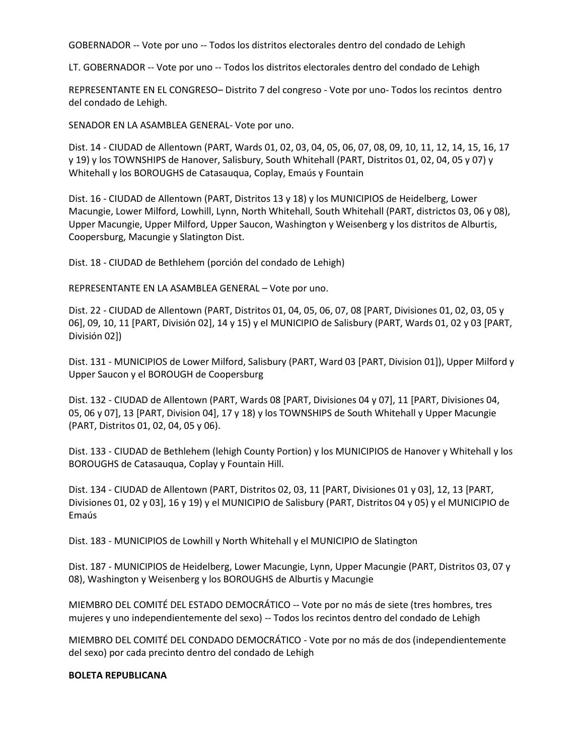GOBERNADOR -- Vote por uno -- Todos los distritos electorales dentro del condado de Lehigh

LT. GOBERNADOR -- Vote por uno -- Todos los distritos electorales dentro del condado de Lehigh

REPRESENTANTE EN EL CONGRESO– Distrito 7 del congreso - Vote por uno- Todos los recintos dentro del condado de Lehigh.

SENADOR EN LA ASAMBLEA GENERAL- Vote por uno.

Dist. 14 - CIUDAD de Allentown (PART, Wards 01, 02, 03, 04, 05, 06, 07, 08, 09, 10, 11, 12, 14, 15, 16, 17 y 19) y los TOWNSHIPS de Hanover, Salisbury, South Whitehall (PART, Distritos 01, 02, 04, 05 y 07) y Whitehall y los BOROUGHS de Catasauqua, Coplay, Emaús y Fountain

Dist. 16 - CIUDAD de Allentown (PART, Distritos 13 y 18) y los MUNICIPIOS de Heidelberg, Lower Macungie, Lower Milford, Lowhill, Lynn, North Whitehall, South Whitehall (PART, districtos 03, 06 y 08), Upper Macungie, Upper Milford, Upper Saucon, Washington y Weisenberg y los distritos de Alburtis, Coopersburg, Macungie y Slatington Dist.

Dist. 18 - CIUDAD de Bethlehem (porción del condado de Lehigh)

REPRESENTANTE EN LA ASAMBLEA GENERAL – Vote por uno.

Dist. 22 - CIUDAD de Allentown (PART, Distritos 01, 04, 05, 06, 07, 08 [PART, Divisiones 01, 02, 03, 05 y 06], 09, 10, 11 [PART, División 02], 14 y 15) y el MUNICIPIO de Salisbury (PART, Wards 01, 02 y 03 [PART, División 02])

Dist. 131 - MUNICIPIOS de Lower Milford, Salisbury (PART, Ward 03 [PART, Division 01]), Upper Milford y Upper Saucon y el BOROUGH de Coopersburg

Dist. 132 - CIUDAD de Allentown (PART, Wards 08 [PART, Divisiones 04 y 07], 11 [PART, Divisiones 04, 05, 06 y 07], 13 [PART, Division 04], 17 y 18) y los TOWNSHIPS de South Whitehall y Upper Macungie (PART, Distritos 01, 02, 04, 05 y 06).

Dist. 133 - CIUDAD de Bethlehem (lehigh County Portion) y los MUNICIPIOS de Hanover y Whitehall y los BOROUGHS de Catasauqua, Coplay y Fountain Hill.

Dist. 134 - CIUDAD de Allentown (PART, Distritos 02, 03, 11 [PART, Divisiones 01 y 03], 12, 13 [PART, Divisiones 01, 02 y 03], 16 y 19) y el MUNICIPIO de Salisbury (PART, Distritos 04 y 05) y el MUNICIPIO de Emaús

Dist. 183 - MUNICIPIOS de Lowhill y North Whitehall y el MUNICIPIO de Slatington

Dist. 187 - MUNICIPIOS de Heidelberg, Lower Macungie, Lynn, Upper Macungie (PART, Distritos 03, 07 y 08), Washington y Weisenberg y los BOROUGHS de Alburtis y Macungie

MIEMBRO DEL COMITÉ DEL ESTADO DEMOCRÁTICO -- Vote por no más de siete (tres hombres, tres mujeres y uno independientemente del sexo) -- Todos los recintos dentro del condado de Lehigh

MIEMBRO DEL COMITÉ DEL CONDADO DEMOCRÁTICO - Vote por no más de dos (independientemente del sexo) por cada precinto dentro del condado de Lehigh

#### **BOLETA REPUBLICANA**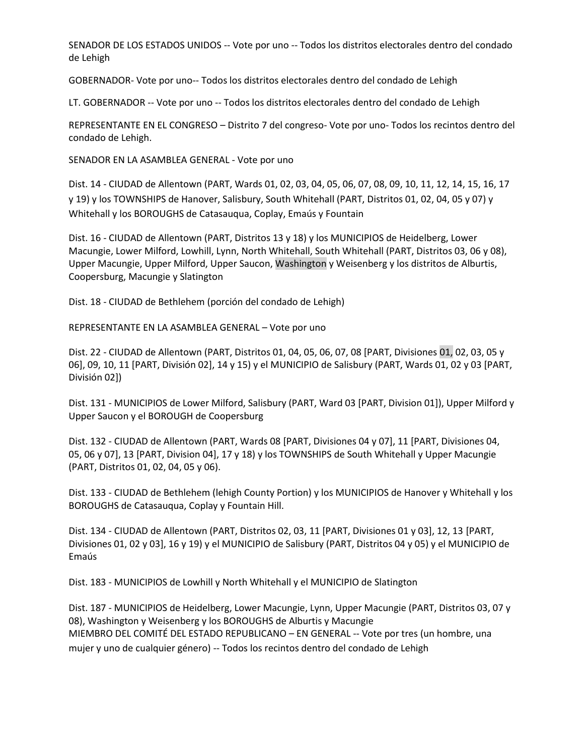SENADOR DE LOS ESTADOS UNIDOS -- Vote por uno -- Todos los distritos electorales dentro del condado de Lehigh

GOBERNADOR- Vote por uno-- Todos los distritos electorales dentro del condado de Lehigh

LT. GOBERNADOR -- Vote por uno -- Todos los distritos electorales dentro del condado de Lehigh

REPRESENTANTE EN EL CONGRESO – Distrito 7 del congreso- Vote por uno- Todos los recintos dentro del condado de Lehigh.

SENADOR EN LA ASAMBLEA GENERAL - Vote por uno

Dist. 14 - CIUDAD de Allentown (PART, Wards 01, 02, 03, 04, 05, 06, 07, 08, 09, 10, 11, 12, 14, 15, 16, 17 y 19) y los TOWNSHIPS de Hanover, Salisbury, South Whitehall (PART, Distritos 01, 02, 04, 05 y 07) y Whitehall y los BOROUGHS de Catasauqua, Coplay, Emaús y Fountain

Dist. 16 - CIUDAD de Allentown (PART, Distritos 13 y 18) y los MUNICIPIOS de Heidelberg, Lower Macungie, Lower Milford, Lowhill, Lynn, North Whitehall, South Whitehall (PART, Distritos 03, 06 y 08), Upper Macungie, Upper Milford, Upper Saucon, Washington y Weisenberg y los distritos de Alburtis, Coopersburg, Macungie y Slatington

Dist. 18 - CIUDAD de Bethlehem (porción del condado de Lehigh)

REPRESENTANTE EN LA ASAMBLEA GENERAL – Vote por uno

Dist. 22 - CIUDAD de Allentown (PART, Distritos 01, 04, 05, 06, 07, 08 [PART, Divisiones 01, 02, 03, 05 y 06], 09, 10, 11 [PART, División 02], 14 y 15) y el MUNICIPIO de Salisbury (PART, Wards 01, 02 y 03 [PART, División 02])

Dist. 131 - MUNICIPIOS de Lower Milford, Salisbury (PART, Ward 03 [PART, Division 01]), Upper Milford y Upper Saucon y el BOROUGH de Coopersburg

Dist. 132 - CIUDAD de Allentown (PART, Wards 08 [PART, Divisiones 04 y 07], 11 [PART, Divisiones 04, 05, 06 y 07], 13 [PART, Division 04], 17 y 18) y los TOWNSHIPS de South Whitehall y Upper Macungie (PART, Distritos 01, 02, 04, 05 y 06).

Dist. 133 - CIUDAD de Bethlehem (lehigh County Portion) y los MUNICIPIOS de Hanover y Whitehall y los BOROUGHS de Catasauqua, Coplay y Fountain Hill.

Dist. 134 - CIUDAD de Allentown (PART, Distritos 02, 03, 11 [PART, Divisiones 01 y 03], 12, 13 [PART, Divisiones 01, 02 y 03], 16 y 19) y el MUNICIPIO de Salisbury (PART, Distritos 04 y 05) y el MUNICIPIO de Emaús

Dist. 183 - MUNICIPIOS de Lowhill y North Whitehall y el MUNICIPIO de Slatington

Dist. 187 - MUNICIPIOS de Heidelberg, Lower Macungie, Lynn, Upper Macungie (PART, Distritos 03, 07 y 08), Washington y Weisenberg y los BOROUGHS de Alburtis y Macungie MIEMBRO DEL COMITÉ DEL ESTADO REPUBLICANO – EN GENERAL -- Vote por tres (un hombre, una mujer y uno de cualquier género) -- Todos los recintos dentro del condado de Lehigh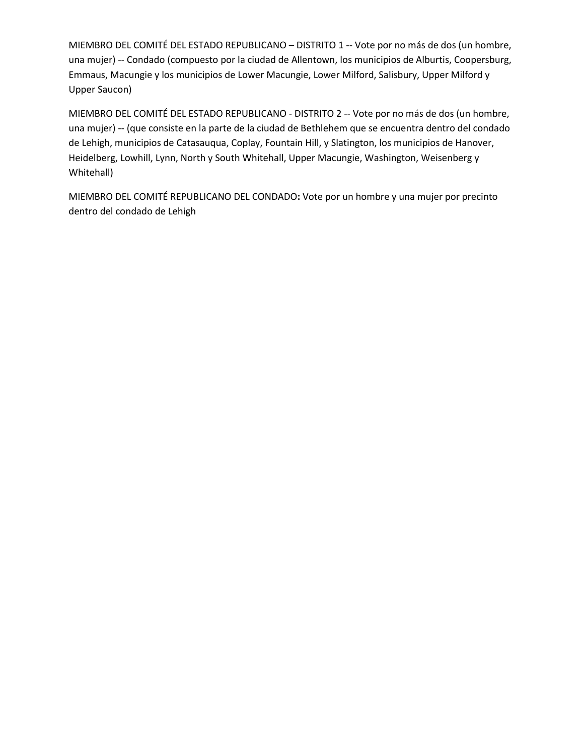MIEMBRO DEL COMITÉ DEL ESTADO REPUBLICANO – DISTRITO 1 -- Vote por no más de dos (un hombre, una mujer) -- Condado (compuesto por la ciudad de Allentown, los municipios de Alburtis, Coopersburg, Emmaus, Macungie y los municipios de Lower Macungie, Lower Milford, Salisbury, Upper Milford y Upper Saucon)

MIEMBRO DEL COMITÉ DEL ESTADO REPUBLICANO - DISTRITO 2 -- Vote por no más de dos (un hombre, una mujer) -- (que consiste en la parte de la ciudad de Bethlehem que se encuentra dentro del condado de Lehigh, municipios de Catasauqua, Coplay, Fountain Hill, y Slatington, los municipios de Hanover, Heidelberg, Lowhill, Lynn, North y South Whitehall, Upper Macungie, Washington, Weisenberg y Whitehall)

MIEMBRO DEL COMITÉ REPUBLICANO DEL CONDADO**:** Vote por un hombre y una mujer por precinto dentro del condado de Lehigh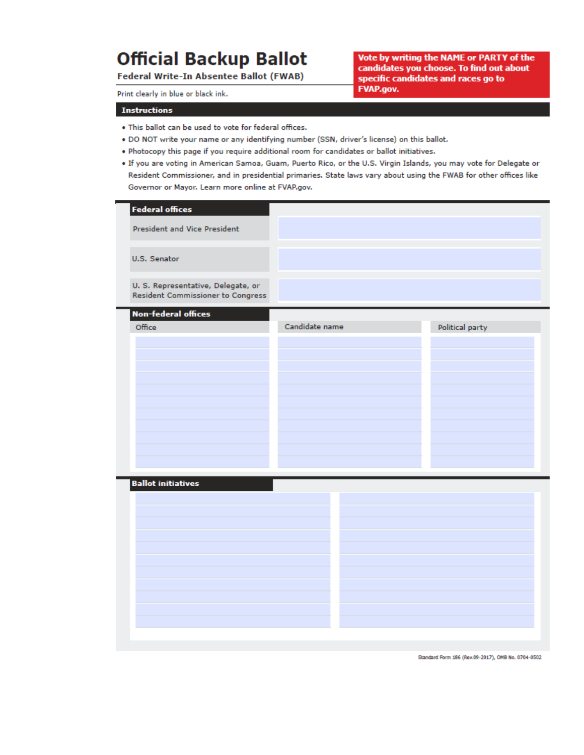# **Official Backup Ballot**

Federal Write-In Absentee Ballot (FWAB)

Vote by writing the NAME or PARTY of the candidates you choose. To find out about specific candidates and races go to **FVAP.gov.** 

Print clearly in blue or black ink.

#### **Instructions**

- . This ballot can be used to vote for federal offices.
- . DO NOT write your name or any identifying number (SSN, driver's license) on this ballot.
- . Photocopy this page if you require additional room for candidates or ballot initiatives.
- . If you are voting in American Samoa, Guam, Puerto Rico, or the U.S. Virgin Islands, you may vote for Delegate or Resident Commissioner, and in presidential primaries. State laws vary about using the FWAB for other offices like Governor or Mayor. Learn more online at FVAP.gov.

| <b>Federal offices</b>                                                         |                |                 |
|--------------------------------------------------------------------------------|----------------|-----------------|
| <b>President and Vice President</b>                                            |                |                 |
| U.S. Senator                                                                   |                |                 |
| U. S. Representative, Delegate, or<br><b>Resident Commissioner to Congress</b> |                |                 |
| <b>Non-federal offices</b>                                                     |                |                 |
| Office                                                                         | Candidate name | Political party |
|                                                                                |                |                 |
|                                                                                |                |                 |
|                                                                                |                |                 |
|                                                                                |                |                 |
|                                                                                |                |                 |
|                                                                                |                |                 |
|                                                                                |                |                 |
|                                                                                |                |                 |
| <b>Ballot initiatives</b>                                                      |                |                 |
|                                                                                |                |                 |
|                                                                                |                |                 |
|                                                                                |                |                 |
|                                                                                |                |                 |
|                                                                                |                |                 |
|                                                                                |                |                 |
|                                                                                |                |                 |
|                                                                                |                |                 |
|                                                                                |                |                 |

Standard Form 186 (Rev.09-2017), OMB No. 0704-0502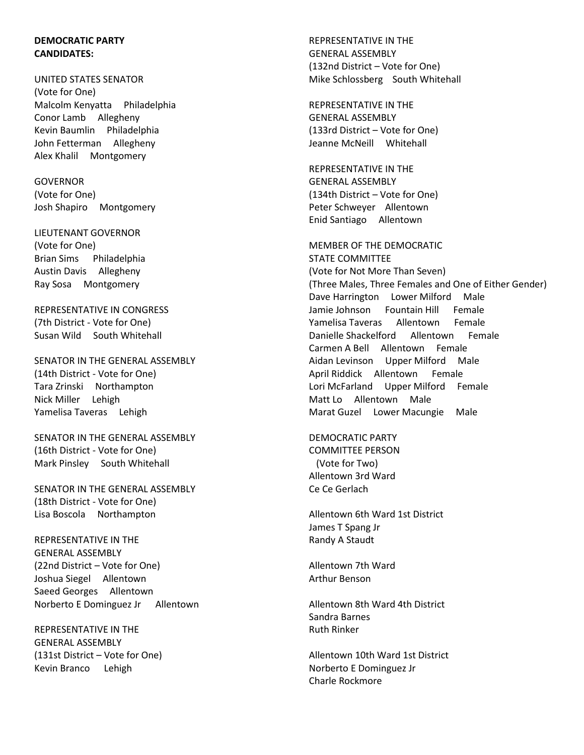### **DEMOCRATIC PARTY CANDIDATES:**

UNITED STATES SENATOR (Vote for One) Malcolm Kenyatta Philadelphia Conor Lamb Allegheny Kevin Baumlin Philadelphia John Fetterman Allegheny Alex Khalil Montgomery

GOVERNOR (Vote for One) Josh Shapiro Montgomery

LIEUTENANT GOVERNOR (Vote for One) Brian Sims Philadelphia Austin Davis Allegheny Ray Sosa Montgomery

REPRESENTATIVE IN CONGRESS (7th District - Vote for One) Susan Wild South Whitehall

SENATOR IN THE GENERAL ASSEMBLY (14th District - Vote for One) Tara Zrinski Northampton Nick Miller Lehigh Yamelisa Taveras Lehigh

SENATOR IN THE GENERAL ASSEMBLY (16th District - Vote for One) Mark Pinsley South Whitehall

SENATOR IN THE GENERAL ASSEMBLY (18th District - Vote for One) Lisa Boscola Northampton

REPRESENTATIVE IN THE GENERAL ASSEMBLY (22nd District – Vote for One) Joshua Siegel Allentown Saeed Georges Allentown Norberto E Dominguez Jr Allentown

REPRESENTATIVE IN THE GENERAL ASSEMBLY (131st District – Vote for One) Kevin Branco Lehigh

REPRESENTATIVE IN THE GENERAL ASSEMBLY (132nd District – Vote for One) Mike Schlossberg South Whitehall

REPRESENTATIVE IN THE GENERAL ASSEMBLY (133rd District – Vote for One) Jeanne McNeill Whitehall

REPRESENTATIVE IN THE GENERAL ASSEMBLY (134th District – Vote for One) Peter Schweyer Allentown Enid Santiago Allentown

MEMBER OF THE DEMOCRATIC STATE COMMITTEE (Vote for Not More Than Seven) (Three Males, Three Females and One of Either Gender) Dave Harrington Lower Milford Male Jamie Johnson Fountain Hill Female Yamelisa Taveras Allentown Female Danielle Shackelford Allentown Female Carmen A Bell Allentown Female Aidan Levinson Upper Milford Male April Riddick Allentown Female Lori McFarland Upper Milford Female Matt Lo Allentown Male Marat Guzel Lower Macungie Male

DEMOCRATIC PARTY COMMITTEE PERSON (Vote for Two) Allentown 3rd Ward Ce Ce Gerlach

Allentown 6th Ward 1st District James T Spang Jr Randy A Staudt

Allentown 7th Ward Arthur Benson

Allentown 8th Ward 4th District Sandra Barnes Ruth Rinker

Allentown 10th Ward 1st District Norberto E Dominguez Jr Charle Rockmore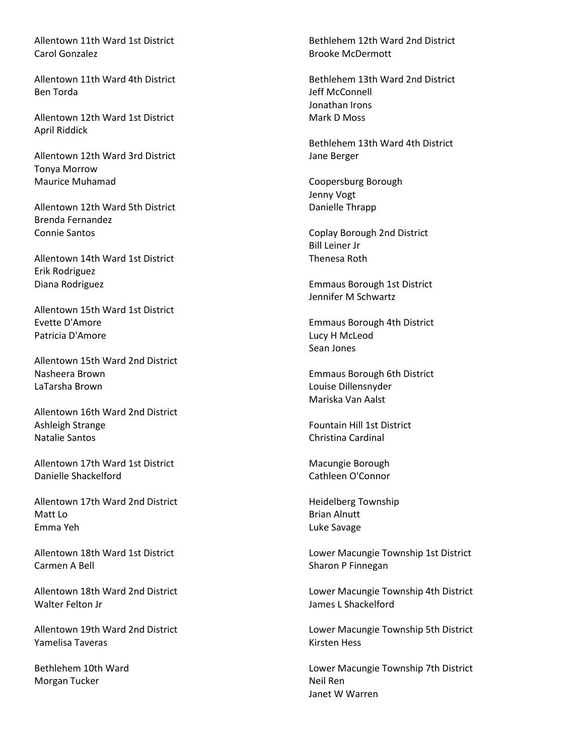Allentown 11th Ward 1st District Carol Gonzalez

Allentown 11th Ward 4th District Ben Torda

Allentown 12th Ward 1st District April Riddick

Allentown 12th Ward 3rd District Tonya Morrow Maurice Muhamad

Allentown 12th Ward 5th District Brenda Fernandez Connie Santos

Allentown 14th Ward 1st District Erik Rodriguez Diana Rodriguez

Allentown 15th Ward 1st District Evette D'Amore Patricia D'Amore

Allentown 15th Ward 2nd District Nasheera Brown LaTarsha Brown

Allentown 16th Ward 2nd District Ashleigh Strange Natalie Santos

Allentown 17th Ward 1st District Danielle Shackelford

Allentown 17th Ward 2nd District Matt Lo Emma Yeh

Allentown 18th Ward 1st District Carmen A Bell

Allentown 18th Ward 2nd District Walter Felton Jr

Allentown 19th Ward 2nd District Yamelisa Taveras

Bethlehem 10th Ward Morgan Tucker

Bethlehem 12th Ward 2nd District Brooke McDermott

Bethlehem 13th Ward 2nd District Jeff McConnell Jonathan Irons Mark D Moss

Bethlehem 13th Ward 4th District Jane Berger

Coopersburg Borough Jenny Vogt Danielle Thrapp

Coplay Borough 2nd District Bill Leiner Jr Thenesa Roth

Emmaus Borough 1st District Jennifer M Schwartz

Emmaus Borough 4th District Lucy H McLeod Sean Jones

Emmaus Borough 6th District Louise Dillensnyder Mariska Van Aalst

Fountain Hill 1st District Christina Cardinal

Macungie Borough Cathleen O'Connor

Heidelberg Township Brian Alnutt Luke Savage

Lower Macungie Township 1st District Sharon P Finnegan

Lower Macungie Township 4th District James L Shackelford

Lower Macungie Township 5th District Kirsten Hess

Lower Macungie Township 7th District Neil Ren Janet W Warren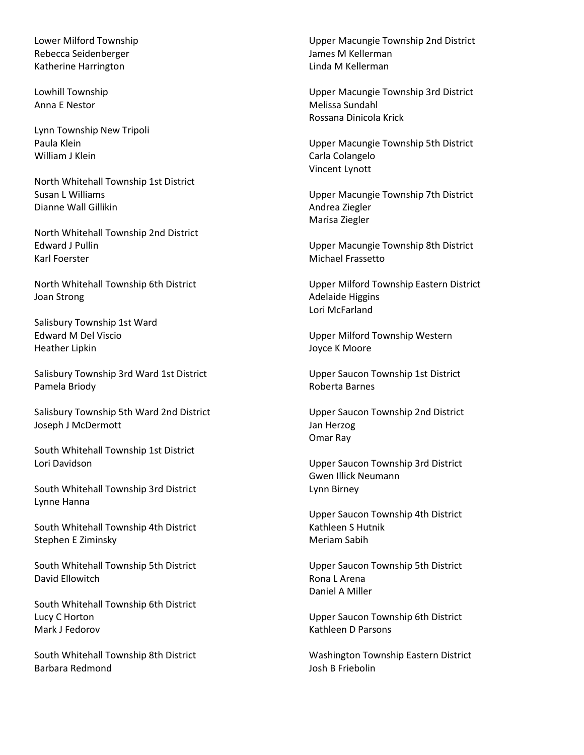Lower Milford Township Rebecca Seidenberger Katherine Harrington

Lowhill Township Anna E Nestor

Lynn Township New Tripoli Paula Klein William J Klein

North Whitehall Township 1st District Susan L Williams Dianne Wall Gillikin

North Whitehall Township 2nd District Edward J Pullin Karl Foerster

North Whitehall Township 6th District Joan Strong

Salisbury Township 1st Ward Edward M Del Viscio Heather Lipkin

Salisbury Township 3rd Ward 1st District Pamela Briody

Salisbury Township 5th Ward 2nd District Joseph J McDermott

South Whitehall Township 1st District Lori Davidson

South Whitehall Township 3rd District Lynne Hanna

South Whitehall Township 4th District Stephen E Ziminsky

South Whitehall Township 5th District David Ellowitch

South Whitehall Township 6th District Lucy C Horton Mark J Fedorov

South Whitehall Township 8th District Barbara Redmond

Upper Macungie Township 2nd District James M Kellerman Linda M Kellerman

Upper Macungie Township 3rd District Melissa Sundahl Rossana Dinicola Krick

Upper Macungie Township 5th District Carla Colangelo Vincent Lynott

Upper Macungie Township 7th District Andrea Ziegler Marisa Ziegler

Upper Macungie Township 8th District Michael Frassetto

Upper Milford Township Eastern District Adelaide Higgins Lori McFarland

Upper Milford Township Western Joyce K Moore

Upper Saucon Township 1st District Roberta Barnes

Upper Saucon Township 2nd District Jan Herzog Omar Ray

Upper Saucon Township 3rd District Gwen Illick Neumann Lynn Birney

Upper Saucon Township 4th District Kathleen S Hutnik Meriam Sabih

Upper Saucon Township 5th District Rona L Arena Daniel A Miller

Upper Saucon Township 6th District Kathleen D Parsons

Washington Township Eastern District Josh B Friebolin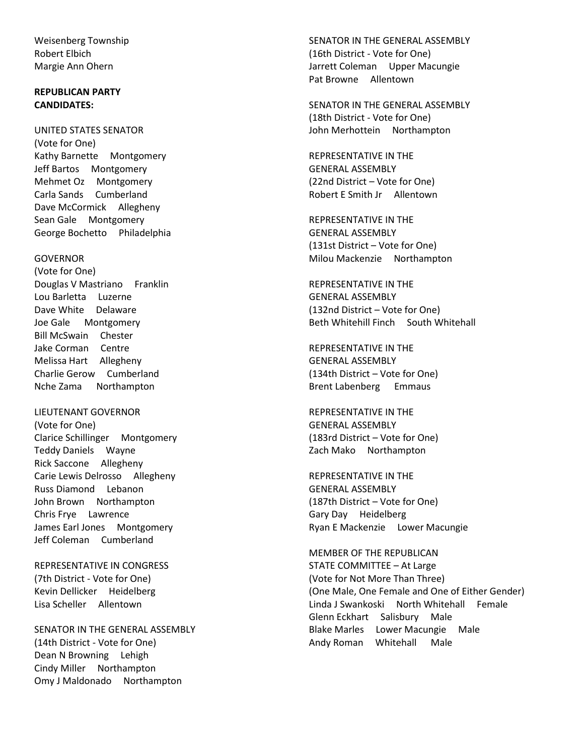Weisenberg Township Robert Elbich Margie Ann Ohern

## **REPUBLICAN PARTY CANDIDATES:**

UNITED STATES SENATOR (Vote for One) Kathy Barnette Montgomery Jeff Bartos Montgomery Mehmet Oz Montgomery Carla Sands Cumberland Dave McCormick Allegheny Sean Gale Montgomery George Bochetto Philadelphia

GOVERNOR

(Vote for One) Douglas V Mastriano Franklin Lou Barletta Luzerne Dave White Delaware Joe Gale Montgomery Bill McSwain Chester Jake Corman Centre Melissa Hart Allegheny Charlie Gerow Cumberland Nche Zama Northampton

LIEUTENANT GOVERNOR (Vote for One) Clarice Schillinger Montgomery Teddy Daniels Wayne Rick Saccone Allegheny Carie Lewis Delrosso Allegheny Russ Diamond Lebanon John Brown Northampton Chris Frye Lawrence James Earl Jones Montgomery Jeff Coleman Cumberland

REPRESENTATIVE IN CONGRESS (7th District - Vote for One) Kevin Dellicker Heidelberg Lisa Scheller Allentown

SENATOR IN THE GENERAL ASSEMBLY (14th District - Vote for One) Dean N Browning Lehigh Cindy Miller Northampton Omy J Maldonado Northampton

SENATOR IN THE GENERAL ASSEMBLY (16th District - Vote for One) Jarrett Coleman Upper Macungie Pat Browne Allentown

SENATOR IN THE GENERAL ASSEMBLY (18th District - Vote for One) John Merhottein Northampton

REPRESENTATIVE IN THE GENERAL ASSEMBLY (22nd District – Vote for One) Robert E Smith Jr Allentown

REPRESENTATIVE IN THE GENERAL ASSEMBLY (131st District – Vote for One) Milou Mackenzie Northampton

REPRESENTATIVE IN THE GENERAL ASSEMBLY (132nd District – Vote for One) Beth Whitehill Finch South Whitehall

REPRESENTATIVE IN THE GENERAL ASSEMBLY (134th District – Vote for One) Brent Labenberg Emmaus

REPRESENTATIVE IN THE GENERAL ASSEMBLY (183rd District – Vote for One) Zach Mako Northampton

REPRESENTATIVE IN THE GENERAL ASSEMBLY (187th District – Vote for One) Gary Day Heidelberg Ryan E Mackenzie Lower Macungie

MEMBER OF THE REPUBLICAN STATE COMMITTEE – At Large (Vote for Not More Than Three) (One Male, One Female and One of Either Gender) Linda J Swankoski North Whitehall Female Glenn Eckhart Salisbury Male Blake Marles Lower Macungie Male Andy Roman Whitehall Male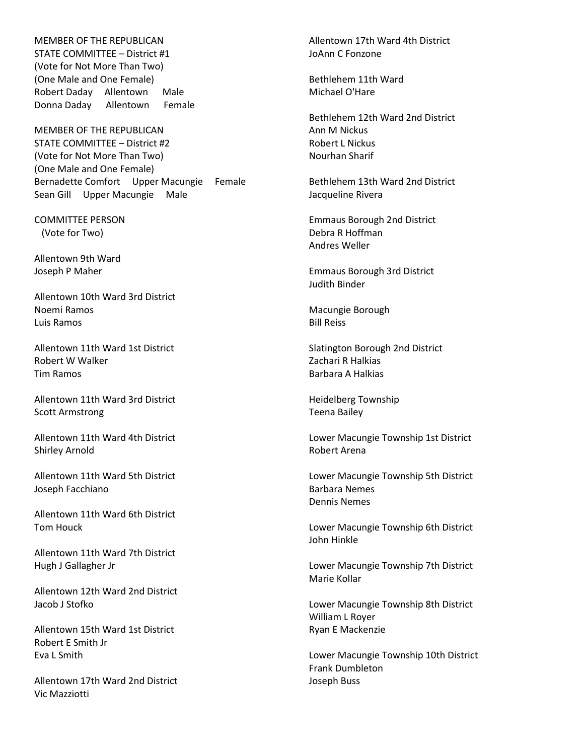MEMBER OF THE REPUBLICAN STATE COMMITTEE – District #1 (Vote for Not More Than Two) (One Male and One Female) Robert Daday Allentown Male Donna Daday Allentown Female

MEMBER OF THE REPUBLICAN STATE COMMITTEE – District #2 (Vote for Not More Than Two) (One Male and One Female) Bernadette Comfort Upper Macungie Female Sean Gill Upper Macungie Male

COMMITTEE PERSON (Vote for Two)

Allentown 9th Ward Joseph P Maher

Allentown 10th Ward 3rd District Noemi Ramos Luis Ramos

Allentown 11th Ward 1st District Robert W Walker Tim Ramos

Allentown 11th Ward 3rd District Scott Armstrong

Allentown 11th Ward 4th District Shirley Arnold

Allentown 11th Ward 5th District Joseph Facchiano

Allentown 11th Ward 6th District Tom Houck

Allentown 11th Ward 7th District Hugh J Gallagher Jr

Allentown 12th Ward 2nd District Jacob J Stofko

Allentown 15th Ward 1st District Robert E Smith Jr Eva L Smith

Allentown 17th Ward 2nd District Vic Mazziotti

Allentown 17th Ward 4th District JoAnn C Fonzone

Bethlehem 11th Ward Michael O'Hare

Bethlehem 12th Ward 2nd District Ann M Nickus Robert L Nickus Nourhan Sharif

Bethlehem 13th Ward 2nd District Jacqueline Rivera

Emmaus Borough 2nd District Debra R Hoffman Andres Weller

Emmaus Borough 3rd District Judith Binder

Macungie Borough Bill Reiss

Slatington Borough 2nd District Zachari R Halkias Barbara A Halkias

Heidelberg Township Teena Bailey

Lower Macungie Township 1st District Robert Arena

Lower Macungie Township 5th District Barbara Nemes Dennis Nemes

Lower Macungie Township 6th District John Hinkle

Lower Macungie Township 7th District Marie Kollar

Lower Macungie Township 8th District William L Royer Ryan E Mackenzie

Lower Macungie Township 10th District Frank Dumbleton Joseph Buss